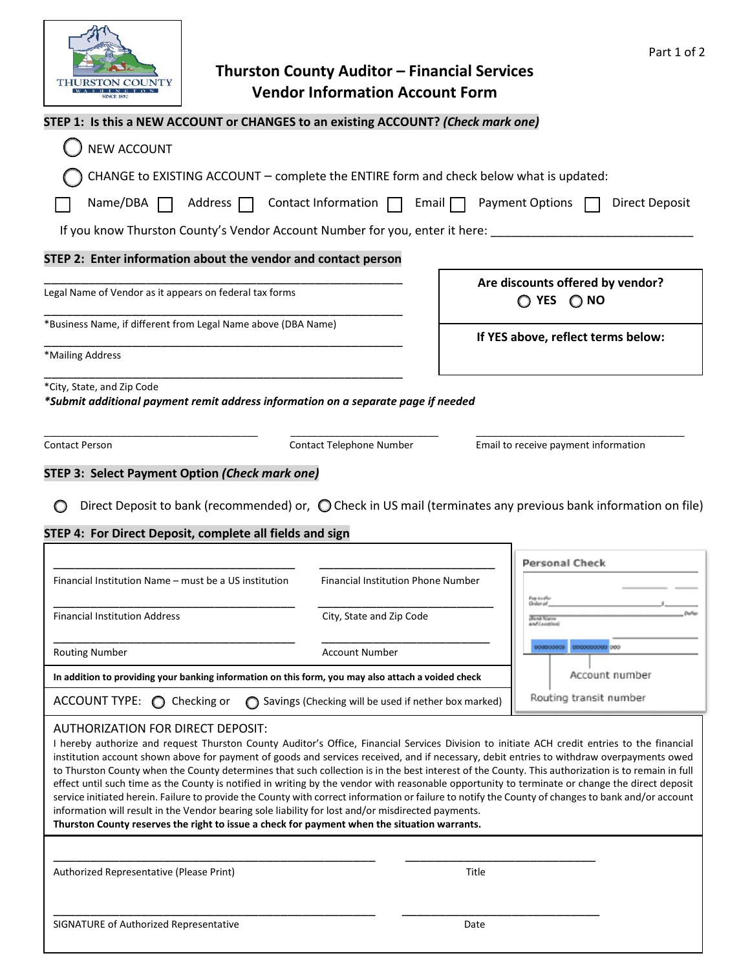

| <b>SINCE 1852</b>                                                                                               | Vendor information Account Form            |                                                                                                                         |  |  |
|-----------------------------------------------------------------------------------------------------------------|--------------------------------------------|-------------------------------------------------------------------------------------------------------------------------|--|--|
| STEP 1: Is this a NEW ACCOUNT or CHANGES to an existing ACCOUNT? (Check mark one)                               |                                            |                                                                                                                         |  |  |
| <b>NEW ACCOUNT</b>                                                                                              |                                            |                                                                                                                         |  |  |
| CHANGE to EXISTING ACCOUNT - complete the ENTIRE form and check below what is updated:                          |                                            |                                                                                                                         |  |  |
| Name/DBA<br>Address $\Box$                                                                                      | Contact Information $\Box$<br>Email $\Box$ | <b>Payment Options</b><br><b>Direct Deposit</b>                                                                         |  |  |
| If you know Thurston County's Vendor Account Number for you, enter it here:                                     |                                            |                                                                                                                         |  |  |
| STEP 2: Enter information about the vendor and contact person                                                   |                                            |                                                                                                                         |  |  |
| Legal Name of Vendor as it appears on federal tax forms                                                         |                                            | Are discounts offered by vendor?<br>$\bigcirc$ NO<br>$\bigcirc$ yes                                                     |  |  |
| *Business Name, if different from Legal Name above (DBA Name)                                                   | If YES above, reflect terms below:         |                                                                                                                         |  |  |
| *Mailing Address                                                                                                |                                            |                                                                                                                         |  |  |
| *City, State, and Zip Code<br>*Submit additional payment remit address information on a separate page if needed |                                            |                                                                                                                         |  |  |
| <b>Contact Person</b>                                                                                           | Contact Telephone Number                   | Email to receive payment information                                                                                    |  |  |
| STEP 3: Select Payment Option (Check mark one)                                                                  |                                            |                                                                                                                         |  |  |
|                                                                                                                 |                                            | Direct Deposit to bank (recommended) or, $\bigcirc$ Check in US mail (terminates any previous bank information on file) |  |  |
| STEP 4: For Direct Deposit, complete all fields and sign                                                        |                                            |                                                                                                                         |  |  |
|                                                                                                                 |                                            | <b>Personal Check</b>                                                                                                   |  |  |
| Financial Institution Name – must be a US institution                                                           | <b>Financial Institution Phone Number</b>  | Puny é a zitu                                                                                                           |  |  |
| <b>Financial Institution Address</b>                                                                            | City, State and Zip Code                   |                                                                                                                         |  |  |
| <b>Routing Number</b>                                                                                           | <b>Account Number</b>                      | 0000000000 000                                                                                                          |  |  |
| In addition to providing your banking information on this form, you may also attach a voided check              |                                            | Account number                                                                                                          |  |  |

## AUTHORIZATION FOR DIRECT DEPOSIT:

I hereby authorize and request Thurston County Auditor's Office, Financial Services Division to initiate ACH credit entries to the financial institution account shown above for payment of goods and services received, and if necessary, debit entries to withdraw overpayments owed to Thurston County when the County determines that such collection is in the best interest of the County. This authorization is to remain in full effect until such time as the County is notified in writing by the vendor with reasonable opportunity to terminate or change the direct deposit service initiated herein. Failure to provide the County with correct information or failure to notify the County of changes to bank and/or account information will result in the Vendor bearing sole liability for lost and/or misdirected payments.

**Thurston County reserves the right to issue a check for payment when the situation warrants.**

\_\_\_\_\_\_\_\_\_\_\_\_\_\_\_\_\_\_\_\_\_\_\_\_\_\_\_\_\_\_\_\_\_\_\_\_\_\_\_\_\_\_\_\_ \_\_\_\_\_\_\_\_\_\_\_\_\_\_\_\_\_\_\_\_\_\_\_\_\_\_

\_\_\_\_\_\_\_\_\_\_\_\_\_\_\_\_\_\_\_\_\_\_\_\_\_\_\_\_\_\_\_\_\_\_\_\_\_\_\_\_\_\_\_\_ \_\_\_\_\_\_\_\_\_\_\_\_\_\_\_\_\_\_\_\_\_\_\_\_\_\_\_

 $ACCOUNT$  TYPE:  $\bigcirc$  Checking or  $\bigcirc$  Savings (Checking will be used if nether box marked)

Authorized Representative (Please Print) Title

Routing transit number